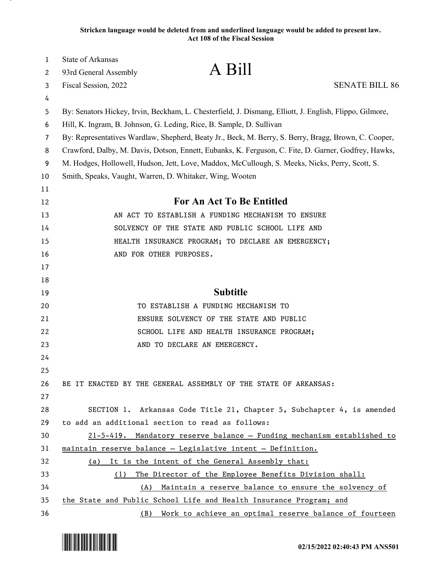**Stricken language would be deleted from and underlined language would be added to present law. Act 108 of the Fiscal Session**

| $\mathbf{1}$ | <b>State of Arkansas</b>                                                                             |                                                                                                         |                       |
|--------------|------------------------------------------------------------------------------------------------------|---------------------------------------------------------------------------------------------------------|-----------------------|
| 2            | 93rd General Assembly                                                                                | A Bill                                                                                                  |                       |
| 3            | Fiscal Session, 2022                                                                                 |                                                                                                         | <b>SENATE BILL 86</b> |
| 4            |                                                                                                      |                                                                                                         |                       |
| 5            |                                                                                                      | By: Senators Hickey, Irvin, Beckham, L. Chesterfield, J. Dismang, Elliott, J. English, Flippo, Gilmore, |                       |
| 6            | Hill, K. Ingram, B. Johnson, G. Leding, Rice, B. Sample, D. Sullivan                                 |                                                                                                         |                       |
| 7            | By: Representatives Wardlaw, Shepherd, Beaty Jr., Beck, M. Berry, S. Berry, Bragg, Brown, C. Cooper, |                                                                                                         |                       |
| 8            | Crawford, Dalby, M. Davis, Dotson, Ennett, Eubanks, K. Ferguson, C. Fite, D. Garner, Godfrey, Hawks, |                                                                                                         |                       |
| 9            |                                                                                                      | M. Hodges, Hollowell, Hudson, Jett, Love, Maddox, McCullough, S. Meeks, Nicks, Perry, Scott, S.         |                       |
| 10           | Smith, Speaks, Vaught, Warren, D. Whitaker, Wing, Wooten                                             |                                                                                                         |                       |
| 11           |                                                                                                      |                                                                                                         |                       |
| 12           |                                                                                                      | <b>For An Act To Be Entitled</b>                                                                        |                       |
| 13           |                                                                                                      | AN ACT TO ESTABLISH A FUNDING MECHANISM TO ENSURE                                                       |                       |
| 14           |                                                                                                      | SOLVENCY OF THE STATE AND PUBLIC SCHOOL LIFE AND                                                        |                       |
| 15           |                                                                                                      | HEALTH INSURANCE PROGRAM; TO DECLARE AN EMERGENCY;                                                      |                       |
| 16           |                                                                                                      | AND FOR OTHER PURPOSES.                                                                                 |                       |
| 17           |                                                                                                      |                                                                                                         |                       |
| 18           |                                                                                                      |                                                                                                         |                       |
| 19           |                                                                                                      | <b>Subtitle</b>                                                                                         |                       |
| 20           |                                                                                                      | TO ESTABLISH A FUNDING MECHANISM TO                                                                     |                       |
| 21           |                                                                                                      | ENSURE SOLVENCY OF THE STATE AND PUBLIC                                                                 |                       |
| 22           |                                                                                                      | SCHOOL LIFE AND HEALTH INSURANCE PROGRAM;                                                               |                       |
| 23           |                                                                                                      | AND TO DECLARE AN EMERGENCY.                                                                            |                       |
| 24           |                                                                                                      |                                                                                                         |                       |
| 25           |                                                                                                      |                                                                                                         |                       |
| 26           |                                                                                                      | BE IT ENACTED BY THE GENERAL ASSEMBLY OF THE STATE OF ARKANSAS:                                         |                       |
| 27           |                                                                                                      |                                                                                                         |                       |
| 28           |                                                                                                      | SECTION 1. Arkansas Code Title 21, Chapter 5, Subchapter 4, is amended                                  |                       |
| 29           |                                                                                                      | to add an additional section to read as follows:                                                        |                       |
| 30           |                                                                                                      | 21-5-419. Mandatory reserve balance - Funding mechanism established to                                  |                       |
| 31           |                                                                                                      | maintain reserve balance - Legislative intent - Definition.                                             |                       |
| 32           |                                                                                                      | (a) It is the intent of the General Assembly that:                                                      |                       |
| 33           | (1)                                                                                                  | The Director of the Employee Benefits Division shall:                                                   |                       |
| 34           | (A)                                                                                                  | Maintain a reserve balance to ensure the solvency of                                                    |                       |
| 35           |                                                                                                      | the State and Public School Life and Health Insurance Program; and                                      |                       |
| 36           |                                                                                                      | (B) Work to achieve an optimal reserve balance of fourteen                                              |                       |

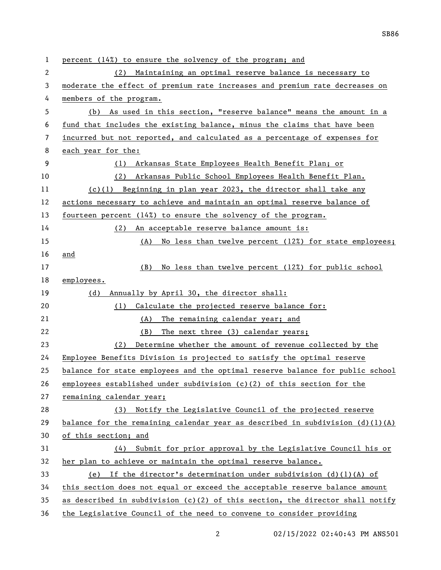| $\mathbf{1}$ | percent (14%) to ensure the solvency of the program; and                          |  |  |
|--------------|-----------------------------------------------------------------------------------|--|--|
| 2            | Maintaining an optimal reserve balance is necessary to<br>(2)                     |  |  |
| 3            | moderate the effect of premium rate increases and premium rate decreases on       |  |  |
| 4            | members of the program.                                                           |  |  |
| 5            | (b) As used in this section, "reserve balance" means the amount in a              |  |  |
| 6            | fund that includes the existing balance, minus the claims that have been          |  |  |
| 7            | incurred but not reported, and calculated as a percentage of expenses for         |  |  |
| 8            | each year for the:                                                                |  |  |
| 9            | (1) Arkansas State Employees Health Benefit Plan; or                              |  |  |
| 10           | (2) Arkansas Public School Employees Health Benefit Plan.                         |  |  |
| 11           | $(c)(1)$ Beginning in plan year 2023, the director shall take any                 |  |  |
| 12           | actions necessary to achieve and maintain an optimal reserve balance of           |  |  |
| 13           | fourteen percent (14%) to ensure the solvency of the program.                     |  |  |
| 14           | (2)<br>An acceptable reserve balance amount is:                                   |  |  |
| 15           | (A) No less than twelve percent (12%) for state employees;                        |  |  |
| 16           | and                                                                               |  |  |
| 17           | No less than twelve percent (12%) for public school<br>(B)                        |  |  |
| 18           | employees.                                                                        |  |  |
| 19           | Annually by April 30, the director shall:<br>(d)                                  |  |  |
| 20           | Calculate the projected reserve balance for:<br>(1)                               |  |  |
| 21           | (A)<br>The remaining calendar year; and                                           |  |  |
| 22           | The next three (3) calendar years;<br>(B)                                         |  |  |
| 23           | Determine whether the amount of revenue collected by the<br>(2)                   |  |  |
| 24           | Employee Benefits Division is projected to satisfy the optimal reserve            |  |  |
| 25           | balance for state employees and the optimal reserve balance for public school     |  |  |
| 26           | employees established under subdivision (c)(2) of this section for the            |  |  |
| 27           | remaining calendar year;                                                          |  |  |
| 28           | Notify the Legislative Council of the projected reserve<br>(3)                    |  |  |
| 29           | balance for the remaining calendar year as described in subdivision $(d)$ (1) (A) |  |  |
| 30           | of this section; and                                                              |  |  |
| 31           | Submit for prior approval by the Legislative Council his or<br>(4)                |  |  |
| 32           | her plan to achieve or maintain the optimal reserve balance.                      |  |  |
| 33           | (e) If the director's determination under subdivision $(d)(1)(A)$ of              |  |  |
| 34           | this section does not equal or exceed the acceptable reserve balance amount       |  |  |
| 35           | as described in subdivision (c)(2) of this section, the director shall notify     |  |  |
| 36           | the Legislative Council of the need to convene to consider providing              |  |  |

2 02/15/2022 02:40:43 PM ANS501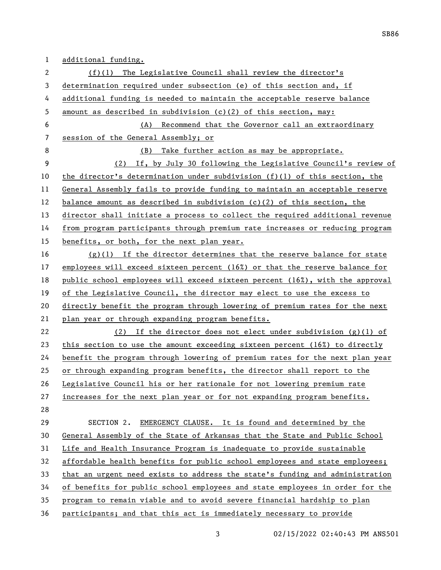additional funding. (f)(1) The Legislative Council shall review the director's determination required under subsection (e) of this section and, if additional funding is needed to maintain the acceptable reserve balance amount as described in subdivision (c)(2) of this section, may: (A) Recommend that the Governor call an extraordinary session of the General Assembly; or 8 (B) Take further action as may be appropriate. (2) If, by July 30 following the Legislative Council's review of the director's determination under subdivision (f)(1) of this section, the General Assembly fails to provide funding to maintain an acceptable reserve 12 balance amount as described in subdivision (c)(2) of this section, the director shall initiate a process to collect the required additional revenue from program participants through premium rate increases or reducing program benefits, or both, for the next plan year. (g)(1) If the director determines that the reserve balance for state employees will exceed sixteen percent (16%) or that the reserve balance for public school employees will exceed sixteen percent (16%), with the approval 19 of the Legislative Council, the director may elect to use the excess to directly benefit the program through lowering of premium rates for the next plan year or through expanding program benefits. (2) If the director does not elect under subdivision (g)(1) of this section to use the amount exceeding sixteen percent (16%) to directly benefit the program through lowering of premium rates for the next plan year or through expanding program benefits, the director shall report to the Legislative Council his or her rationale for not lowering premium rate increases for the next plan year or for not expanding program benefits. SECTION 2. EMERGENCY CLAUSE. It is found and determined by the General Assembly of the State of Arkansas that the State and Public School Life and Health Insurance Program is inadequate to provide sustainable affordable health benefits for public school employees and state employees; that an urgent need exists to address the state's funding and administration of benefits for public school employees and state employees in order for the program to remain viable and to avoid severe financial hardship to plan participants; and that this act is immediately necessary to provide

SB86